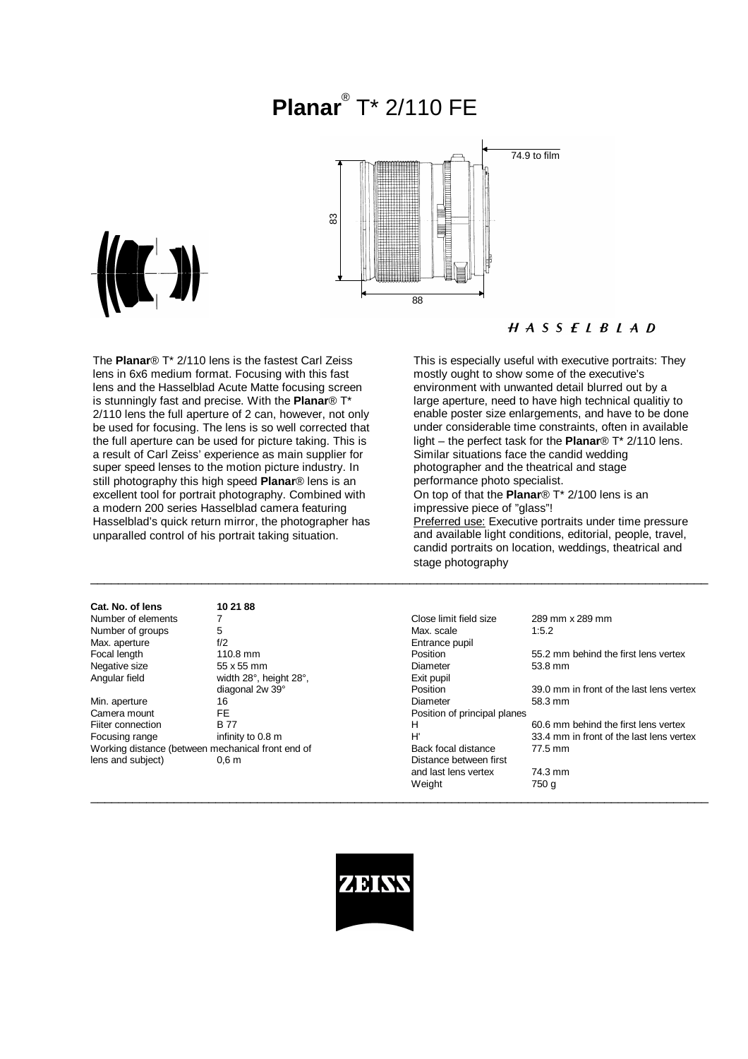# **Planar**® T\* 2/110 FE





## $H A S S E L B L A D$

The **Planar**® T\* 2/110 lens is the fastest Carl Zeiss lens in 6x6 medium format. Focusing with this fast lens and the Hasselblad Acute Matte focusing screen is stunningly fast and precise. With the **Planar**® T\* 2/110 lens the full aperture of 2 can, however, not only be used for focusing. The lens is so well corrected that the full aperture can be used for picture taking. This is a result of Carl Zeiss' experience as main supplier for super speed lenses to the motion picture industry. In still photography this high speed **Planar**® lens is an excellent tool for portrait photography. Combined with a modern 200 series Hasselblad camera featuring Hasselblad's quick return mirror, the photographer has unparalled control of his portrait taking situation.

| Cat. No. of lens   | 10 21 88                                          |                              |                                          |
|--------------------|---------------------------------------------------|------------------------------|------------------------------------------|
| Number of elements |                                                   | Close limit field size       | 289 mm x 289 mm                          |
| Number of groups   | 5                                                 | Max. scale                   | 1:5.2                                    |
| Max. aperture      | f/2                                               | Entrance pupil               |                                          |
| Focal length       | $110.8$ mm                                        | Position                     | 55.2 mm behind the first lens vertex     |
| Negative size      | 55 x 55 mm                                        | Diameter                     | 53.8 mm                                  |
| Angular field      | width 28°, height 28°,                            | Exit pupil                   |                                          |
|                    | diagonal 2w 39°                                   | Position                     | 39.0 mm in front of the last lens vertex |
| Min. aperture      | 16                                                | Diameter                     | 58.3 mm                                  |
| Camera mount       | FE.                                               | Position of principal planes |                                          |
| Fiiter connection  | <b>B77</b>                                        | н                            | 60.6 mm behind the first lens vertex     |
| Focusing range     | infinity to 0.8 m                                 | H'                           | 33.4 mm in front of the last lens vertex |
|                    | Working distance (between mechanical front end of | Back focal distance          | 77.5 mm                                  |
| lens and subject)  | 0.6 <sub>m</sub>                                  | Distance between first       |                                          |
|                    |                                                   | and last lens vertex         | 74.3 mm                                  |

This is especially useful with executive portraits: They mostly ought to show some of the executive's environment with unwanted detail blurred out by a large aperture, need to have high technical qualitiy to enable poster size enlargements, and have to be done under considerable time constraints, often in available light – the perfect task for the **Planar**® T\* 2/110 lens. Similar situations face the candid wedding photographer and the theatrical and stage performance photo specialist. On top of that the **Planar**® T\* 2/100 lens is an impressive piece of "glass"!

Preferred use: Executive portraits under time pressure and available light conditions, editorial, people, travel, candid portraits on location, weddings, theatrical and stage photography

| Number of elements                                |                        | Close limit field size       | 289 mm x 289 mm                          |
|---------------------------------------------------|------------------------|------------------------------|------------------------------------------|
| Number of groups                                  | 5                      | Max. scale                   | 1:5.2                                    |
| Max. aperture                                     | f/2                    | Entrance pupil               |                                          |
| Focal length                                      | $110.8$ mm             | Position                     | 55.2 mm behind the first lens vertex     |
| Negative size                                     | 55 x 55 mm             | Diameter                     | 53.8 mm                                  |
| Angular field                                     | width 28°, height 28°, | Exit pupil                   |                                          |
|                                                   | diagonal 2w 39°        | Position                     | 39.0 mm in front of the last lens vertex |
| Min. aperture                                     | 16                     | Diameter                     | 58.3 mm                                  |
| Camera mount                                      | FE.                    | Position of principal planes |                                          |
| Fiiter connection                                 | <b>B77</b>             | н                            | 60.6 mm behind the first lens vertex     |
| Focusing range                                    | infinity to 0.8 m      | H'                           | 33.4 mm in front of the last lens vertex |
| Working distance (between mechanical front end of |                        | Back focal distance          | 77.5 mm                                  |
| lens and subject)                                 | 0.6 <sub>m</sub>       | Distance between first       |                                          |
|                                                   |                        | and last lens vertex         | 74.3 mm                                  |
|                                                   |                        | Weight                       | 750 g                                    |
|                                                   |                        |                              |                                          |



\_\_\_\_\_\_\_\_\_\_\_\_\_\_\_\_\_\_\_\_\_\_\_\_\_\_\_\_\_\_\_\_\_\_\_\_\_\_\_\_\_\_\_\_\_\_\_\_\_\_\_\_\_\_\_\_\_\_\_\_\_\_\_\_\_\_\_\_\_\_\_\_\_\_\_\_\_\_\_\_\_\_\_\_\_\_\_\_\_